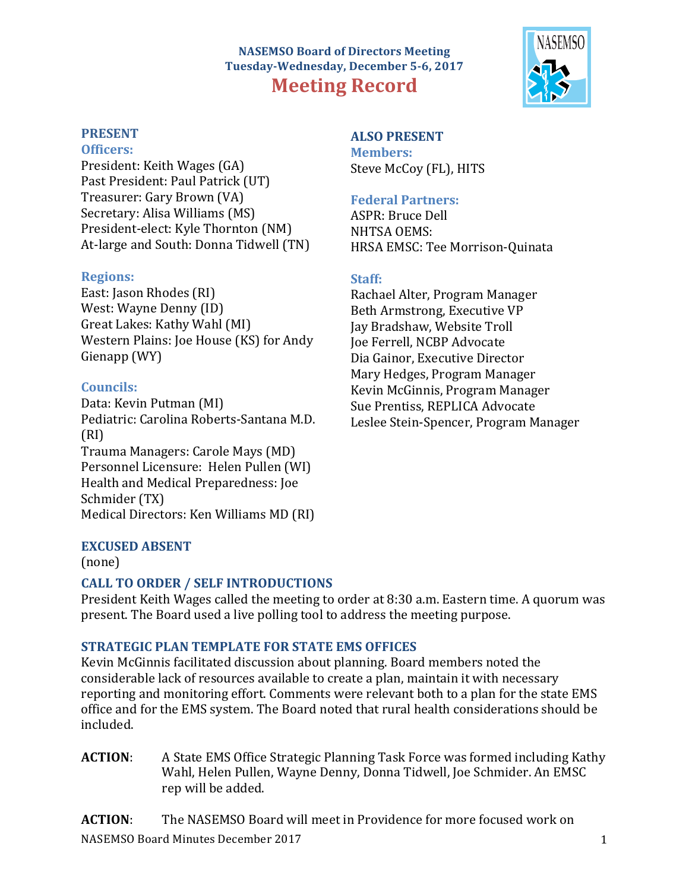# **NASEMSO Board of Directors Meeting** Tuesday-Wednesday, December 5-6, 2017 **Meeting Record**



### **PRESENT**

### **Officers:**

President: Keith Wages (GA) Past President: Paul Patrick (UT) Treasurer: Gary Brown (VA) Secretary: Alisa Williams (MS) President-elect: Kyle Thornton (NM) At-large and South: Donna Tidwell (TN)

### **Regions:**

East: Jason Rhodes (RI) West: Wayne Denny (ID) Great Lakes: Kathy Wahl (MI) Western Plains: Joe House (KS) for Andy Gienapp (WY)

## **Councils:**

Data: Kevin Putman (MI) Pediatric: Carolina Roberts-Santana M.D. (RI) Trauma Managers: Carole Mays (MD) Personnel Licensure: Helen Pullen (WI) Health and Medical Preparedness: Joe Schmider (TX) Medical Directors: Ken Williams MD (RI)

# **ALSO PRESENT Members:**

Steve McCoy (FL), HITS

## **Federal Partners:**

ASPR: Bruce Dell NHTSA OEMS: HRSA EMSC: Tee Morrison-Quinata

# **Staff:**

Rachael Alter, Program Manager Beth Armstrong, Executive VP Jay Bradshaw, Website Troll **Joe Ferrell, NCBP Advocate** Dia Gainor, Executive Director Mary Hedges, Program Manager Kevin McGinnis, Program Manager Sue Prentiss, REPLICA Advocate Leslee Stein-Spencer, Program Manager

# **EXCUSED ABSENT**

(none)

# **CALL TO ORDER / SELF INTRODUCTIONS**

President Keith Wages called the meeting to order at 8:30 a.m. Eastern time. A quorum was present. The Board used a live polling tool to address the meeting purpose.

# **STRATEGIC PLAN TEMPLATE FOR STATE EMS OFFICES**

Kevin McGinnis facilitated discussion about planning. Board members noted the considerable lack of resources available to create a plan, maintain it with necessary reporting and monitoring effort. Comments were relevant both to a plan for the state EMS office and for the EMS system. The Board noted that rural health considerations should be included.

**ACTION:** A State EMS Office Strategic Planning Task Force was formed including Kathy Wahl, Helen Pullen, Wayne Denny, Donna Tidwell, Joe Schmider. An EMSC rep will be added.

NASEMSO Board Minutes December 2017 1 1 2022 1 2023 1 2023 1 2023 1 2023 1 2023 1 2023 1 2023 1 2023 1 2023 1 2023 1 2023 1 2023 1 2023 1 2023 1 2023 1 2023 1 2023 1 2023 1 2023 1 2023 1 2023 1 2023 1 2023 1 2023 1 2023 1 **ACTION:** The NASEMSO Board will meet in Providence for more focused work on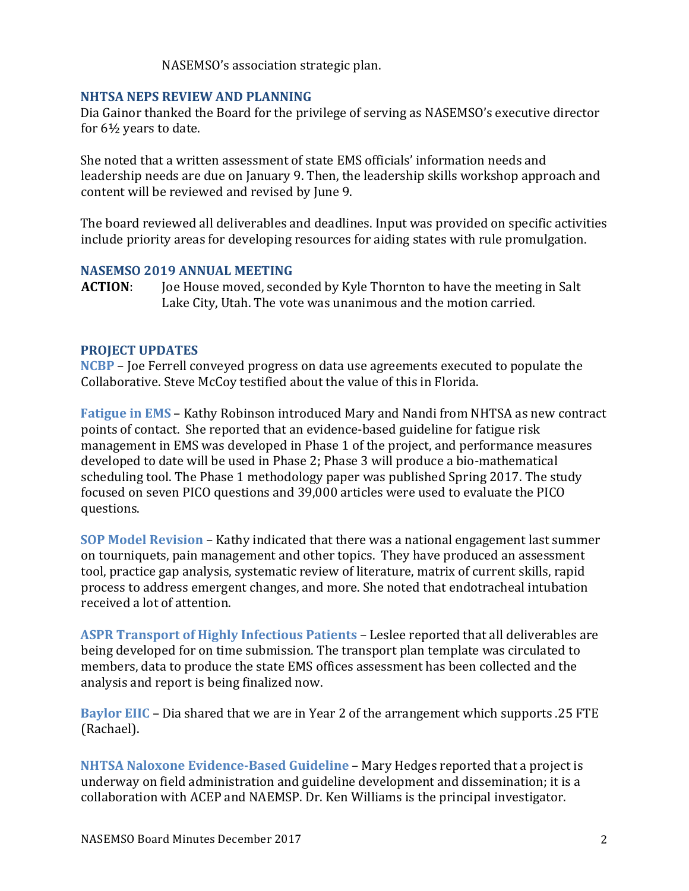NASEMSO's association strategic plan.

### **NHTSA NEPS REVIEW AND PLANNING**

Dia Gainor thanked the Board for the privilege of serving as NASEMSO's executive director for  $6\frac{1}{2}$  years to date.

She noted that a written assessment of state EMS officials' information needs and leadership needs are due on January 9. Then, the leadership skills workshop approach and content will be reviewed and revised by June 9.

The board reviewed all deliverables and deadlines. Input was provided on specific activities include priority areas for developing resources for aiding states with rule promulgation.

### **NASEMSO 2019 ANNUAL MEETING**

**ACTION:** Joe House moved, seconded by Kyle Thornton to have the meeting in Salt Lake City, Utah. The vote was unanimous and the motion carried.

### **PROJECT UPDATES**

**NCBP** – Joe Ferrell conveyed progress on data use agreements executed to populate the Collaborative. Steve McCoy testified about the value of this in Florida.

**Fatigue in EMS** – Kathy Robinson introduced Mary and Nandi from NHTSA as new contract points of contact. She reported that an evidence-based guideline for fatigue risk management in EMS was developed in Phase 1 of the project, and performance measures developed to date will be used in Phase 2; Phase 3 will produce a bio-mathematical scheduling tool. The Phase 1 methodology paper was published Spring 2017. The study focused on seven PICO questions and 39,000 articles were used to evaluate the PICO questions.

**SOP Model Revision** – Kathy indicated that there was a national engagement last summer on tourniquets, pain management and other topics. They have produced an assessment tool, practice gap analysis, systematic review of literature, matrix of current skills, rapid process to address emergent changes, and more. She noted that endotracheal intubation received a lot of attention.

**ASPR Transport of Highly Infectious Patients – Leslee reported that all deliverables are** being developed for on time submission. The transport plan template was circulated to members, data to produce the state EMS offices assessment has been collected and the analysis and report is being finalized now.

**Baylor EIIC** – Dia shared that we are in Year 2 of the arrangement which supports .25 FTE (Rachael).

**NHTSA Naloxone Evidence-Based Guideline – Mary Hedges reported that a project is** underway on field administration and guideline development and dissemination; it is a collaboration with ACEP and NAEMSP. Dr. Ken Williams is the principal investigator.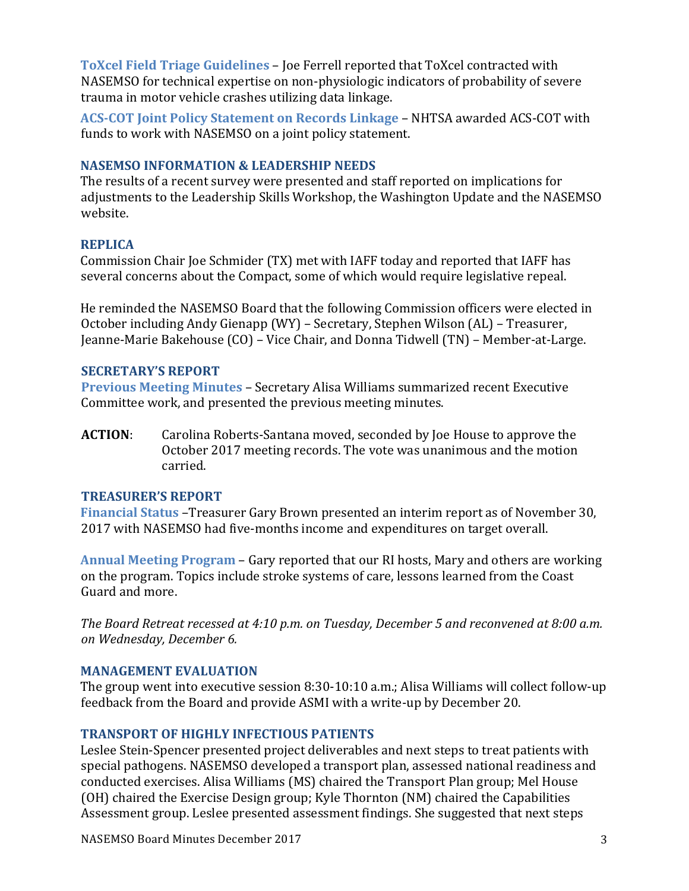**ToXcel Field Triage Guidelines – Joe Ferrell reported that ToXcel contracted with** NASEMSO for technical expertise on non-physiologic indicators of probability of severe trauma in motor vehicle crashes utilizing data linkage.

**ACS-COT Joint Policy Statement on Records Linkage – NHTSA awarded ACS-COT with** funds to work with NASEMSO on a joint policy statement.

## **NASEMSO INFORMATION & LEADERSHIP NEEDS**

The results of a recent survey were presented and staff reported on implications for adiustments to the Leadership Skills Workshop, the Washington Update and the NASEMSO website.

## **REPLICA**

Commission Chair Joe Schmider (TX) met with IAFF today and reported that IAFF has several concerns about the Compact, some of which would require legislative repeal.

He reminded the NASEMSO Board that the following Commission officers were elected in October including Andy Gienapp (WY) – Secretary, Stephen Wilson (AL) – Treasurer, Jeanne-Marie Bakehouse (CO) – Vice Chair, and Donna Tidwell (TN) – Member-at-Large.

# **SECRETARY'S REPORT**

**Previous Meeting Minutes - Secretary Alisa Williams summarized recent Executive** Committee work, and presented the previous meeting minutes.

**ACTION:** Carolina Roberts-Santana moved, seconded by Joe House to approve the October 2017 meeting records. The vote was unanimous and the motion carried.

### **TREASURER'S REPORT**

**Financial Status** –Treasurer Gary Brown presented an interim report as of November 30, 2017 with NASEMSO had five-months income and expenditures on target overall.

**Annual Meeting Program** – Gary reported that our RI hosts, Mary and others are working on the program. Topics include stroke systems of care, lessons learned from the Coast Guard and more.

*The Board Retreat recessed at 4:10 p.m. on Tuesday, December 5 and reconvened at 8:00 a.m. on Wednesday, December 6.*

### **MANAGEMENT EVALUATION**

The group went into executive session  $8:30-10:10$  a.m.; Alisa Williams will collect follow-up feedback from the Board and provide ASMI with a write-up by December 20.

# **TRANSPORT OF HIGHLY INFECTIOUS PATIENTS**

Leslee Stein-Spencer presented project deliverables and next steps to treat patients with special pathogens. NASEMSO developed a transport plan, assessed national readiness and conducted exercises. Alisa Williams (MS) chaired the Transport Plan group; Mel House (OH) chaired the Exercise Design group; Kyle Thornton (NM) chaired the Capabilities Assessment group. Leslee presented assessment findings. She suggested that next steps

NASEMSO Board Minutes December 2017 3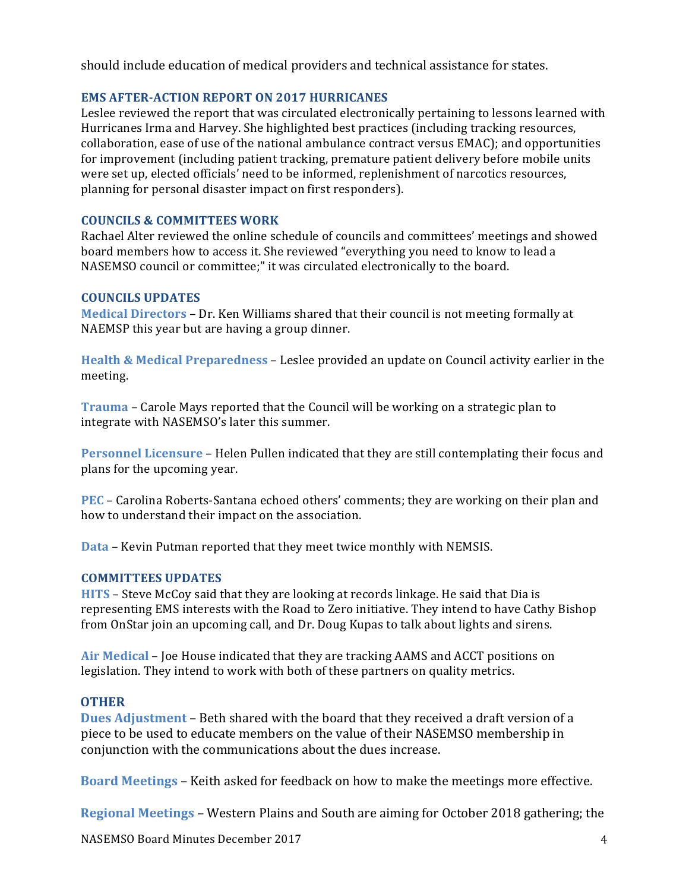should include education of medical providers and technical assistance for states.

### **EMS AFTER-ACTION REPORT ON 2017 HURRICANES**

Leslee reviewed the report that was circulated electronically pertaining to lessons learned with Hurricanes Irma and Harvey. She highlighted best practices (including tracking resources, collaboration, ease of use of the national ambulance contract versus EMAC); and opportunities for improvement (including patient tracking, premature patient delivery before mobile units were set up, elected officials' need to be informed, replenishment of narcotics resources, planning for personal disaster impact on first responders).

### **COUNCILS & COMMITTEES WORK**

Rachael Alter reviewed the online schedule of councils and committees' meetings and showed board members how to access it. She reviewed "everything you need to know to lead a NASEMSO council or committee;" it was circulated electronically to the board.

### **COUNCILS UPDATES**

**Medical Directors** – Dr. Ken Williams shared that their council is not meeting formally at NAEMSP this year but are having a group dinner.

**Health & Medical Preparedness – Leslee provided an update on Council activity earlier in the** meeting.

**Trauma** – Carole Mays reported that the Council will be working on a strategic plan to integrate with NASEMSO's later this summer.

**Personnel Licensure** – Helen Pullen indicated that they are still contemplating their focus and plans for the upcoming year.

**PEC** – Carolina Roberts-Santana echoed others' comments; they are working on their plan and how to understand their impact on the association.

**Data** – Kevin Putman reported that they meet twice monthly with NEMSIS.

### **COMMITTEES UPDATES**

**HITS** – Steve McCoy said that they are looking at records linkage. He said that Dia is representing EMS interests with the Road to Zero initiative. They intend to have Cathy Bishop from OnStar join an upcoming call, and Dr. Doug Kupas to talk about lights and sirens.

Air Medical – Joe House indicated that they are tracking AAMS and ACCT positions on legislation. They intend to work with both of these partners on quality metrics.

### **OTHER**

**Dues Adjustment** – Beth shared with the board that they received a draft version of a piece to be used to educate members on the value of their NASEMSO membership in conjunction with the communications about the dues increase.

**Board Meetings** – Keith asked for feedback on how to make the meetings more effective.

**Regional Meetings** – Western Plains and South are aiming for October 2018 gathering; the

NASEMSO Board Minutes December 2017 4